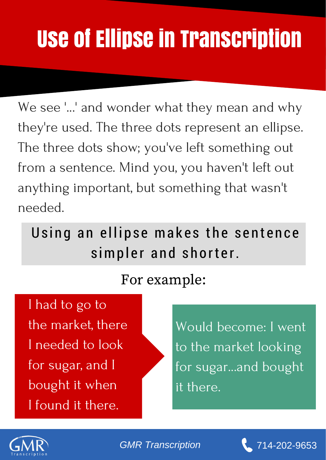## Use of Ellipse in Transcription

We see '...' and wonder what they mean and why they're used. The three dots represent an ellipse. The three dots show; you've left something out from a sentence. Mind you, you haven't left out anything important, but something that wasn't needed.

Using an ellipse makes the sentence simpler and shorter.

## For example:

I had to go to the market, there I needed to look for sugar, and I bought it when I found it there.

Would become: I went to the market looking for sugar...and bought it there.



**GMR [Transcription](https://www.gmrtranscription.com/) 14-202-9653** 

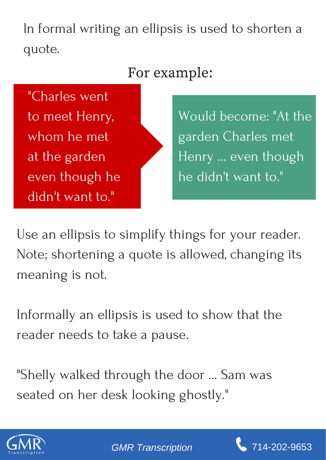In formal writing an ellipsis is used to shorten a quote.

## For example:

"Charles went to meet Henry, whom he met at the garden even though he didn't want to."

Would become: "At the garden Charles met Henry ... even though he didn't want to."

Use an ellipsis to simplify things for your reader. Note; shortening a quote is allowed, changing its meaning is not.

Informally an ellipsis is used to show that the reader needs to take a pause.

"Shelly walked through the door ... Sam was seated on her desk looking ghostly."